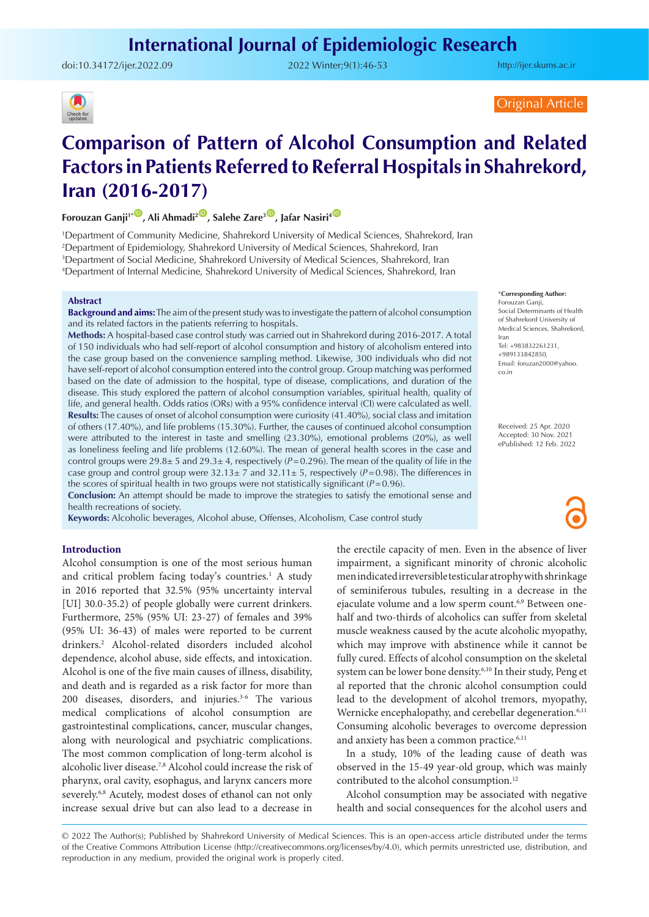# **International Journal of Epidemiologic Research**

doi:[10.34172/ijer.2022.09](https://doi.org/10.34172/ijer.2022.09) 2022 Winter;9(1):46-53

<http://ijer.skums.ac.ir>

# Original Article

# **Comparison of Pattern of Alcohol Consumption and Related Factors in Patients Referred to Referral Hospitals in Shahrekord, Iran (2016-2017)**

**Forouzan Ganii<sup>1</sup><sup>®</sup>, Ali Ahmadi<sup>2®</sup>, Salehe Zare<sup>3®</sup>, Jafar Nasiri<sup>4</sub>®**</sup>

1 Department of Community Medicine, Shahrekord University of Medical Sciences, Shahrekord, Iran 2 Department of Epidemiology, Shahrekord University of Medical Sciences, Shahrekord, Iran 3 Department of Social Medicine, Shahrekord University of Medical Sciences, Shahrekord, Iran

4 Department of Internal Medicine, Shahrekord University of Medical Sciences, Shahrekord, Iran

### **Abstract**

**Background and aims:** The aim of the present study was to investigate the pattern of alcohol consumption and its related factors in the patients referring to hospitals.

**Methods:** A hospital-based case control study was carried out in Shahrekord during 2016-2017. A total of 150 individuals who had self-report of alcohol consumption and history of alcoholism entered into the case group based on the convenience sampling method. Likewise, 300 individuals who did not have self-report of alcohol consumption entered into the control group. Group matching was performed based on the date of admission to the hospital, type of disease, complications, and duration of the disease. This study explored the pattern of alcohol consumption variables, spiritual health, quality of life, and general health. Odds ratios (ORs) with a 95% confidence interval (CI) were calculated as well. **Results:** The causes of onset of alcohol consumption were curiosity (41.40%), social class and imitation of others (17.40%), and life problems (15.30%). Further, the causes of continued alcohol consumption were attributed to the interest in taste and smelling (23.30%), emotional problems (20%), as well as loneliness feeling and life problems (12.60%). The mean of general health scores in the case and control groups were  $29.8\pm 5$  and  $29.3\pm 4$ , respectively ( $P=0.296$ ). The mean of the quality of life in the case group and control group were  $32.13 \pm 7$  and  $32.11 \pm 5$ , respectively ( $P=0.98$ ). The differences in the scores of spiritual health in two groups were not statistically significant (*P*=0.96).

**Conclusion:** An attempt should be made to improve the strategies to satisfy the emotional sense and health recreations of society.

**Keywords:** Alcoholic beverages, Alcohol abuse, Offenses, Alcoholism, Case control study

# **Introduction**

Alcohol consumption is one of the most serious human and critical problem facing today's countries.<sup>1</sup> A study in 2016 reported that 32.5% (95% uncertainty interval [UI] 30.0-35.2) of people globally were current drinkers. Furthermore, 25% (95% UI: 23-27) of females and 39% (95% UI: 36-43) of males were reported to be current drinkers.2 Alcohol-related disorders included alcohol dependence, alcohol abuse, side effects, and intoxication. Alcohol is one of the five main causes of illness, disability, and death and is regarded as a risk factor for more than 200 diseases, disorders, and injuries.<sup>3-6</sup> The various medical complications of alcohol consumption are gastrointestinal complications, cancer, muscular changes, along with neurological and psychiatric complications. The most common complication of long-term alcohol is alcoholic liver disease.7,8 Alcohol could increase the risk of pharynx, oral cavity, esophagus, and larynx cancers more severely.<sup>6,8</sup> Acutely, modest doses of ethanol can not only increase sexual drive but can also lead to a decrease in

the erectile capacity of men. Even in the absence of liver impairment, a significant minority of chronic alcoholic men indicated irreversible testicular atrophy with shrinkage of seminiferous tubules, resulting in a decrease in the ejaculate volume and a low sperm count.<sup>6,9</sup> Between onehalf and two-thirds of alcoholics can suffer from skeletal muscle weakness caused by the acute alcoholic myopathy, which may improve with abstinence while it cannot be fully cured. Effects of alcohol consumption on the skeletal system can be lower bone density.<sup>6,10</sup> In their study, Peng et al reported that the chronic alcohol consumption could lead to the development of alcohol tremors, myopathy, Wernicke encephalopathy, and cerebellar degeneration.<sup>6,11</sup> Consuming alcoholic beverages to overcome depression and anxiety has been a common practice.<sup>6,11</sup>

In a study, 10% of the leading cause of death was observed in the 15-49 year-old group, which was mainly contributed to the alcohol consumption.<sup>12</sup>

Alcohol consumption may be associated with negative health and social consequences for the alcohol users and

© 2022 The Author(s); Published by Shahrekord University of Medical Sciences. This is an open-access article distributed under the terms of the Creative Commons Attribution License (http://creativecommons.org/licenses/by/4.0), which permits unrestricted use, distribution, and reproduction in any medium, provided the original work is properly cited.

#### \***Corresponding Author:**

co.in

Forouzan Ganji, Social Determinants of Health of Shahrekord University of Medical Sciences, Shahrekord, Iran Tel: +983832261231, +989133842850, Email: foruzan2000@yahoo.

Received: 25 Apr. 2020 Accepted: 30 Nov. 2021 ePublished: 12 Feb. 2022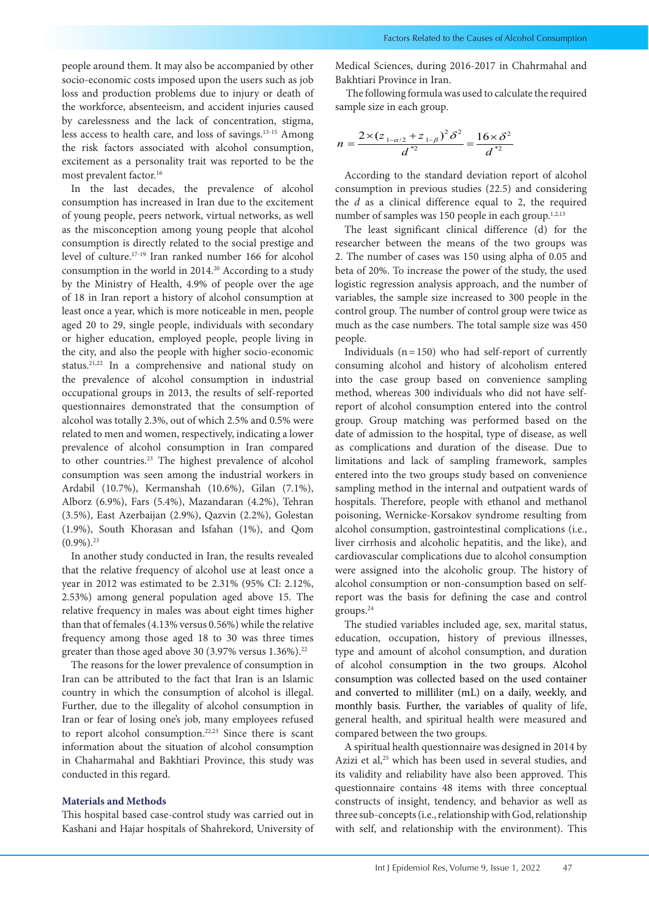people around them. It may also be accompanied by other socio-economic costs imposed upon the users such as job loss and production problems due to injury or death of the workforce, absenteeism, and accident injuries caused by carelessness and the lack of concentration, stigma, less access to health care, and loss of savings.13-15 Among the risk factors associated with alcohol consumption, excitement as a personality trait was reported to be the most prevalent factor.<sup>16</sup>

In the last decades, the prevalence of alcohol consumption has increased in Iran due to the excitement of young people, peers network, virtual networks, as well as the misconception among young people that alcohol consumption is directly related to the social prestige and level of culture.17-19 Iran ranked number 166 for alcohol consumption in the world in 2014.20 According to a study by the Ministry of Health, 4.9% of people over the age of 18 in Iran report a history of alcohol consumption at least once a year, which is more noticeable in men, people aged 20 to 29, single people, individuals with secondary or higher education, employed people, people living in the city, and also the people with higher socio-economic status.21,22 In a comprehensive and national study on the prevalence of alcohol consumption in industrial occupational groups in 2013, the results of self-reported questionnaires demonstrated that the consumption of alcohol was totally 2.3%, out of which 2.5% and 0.5% were related to men and women, respectively, indicating a lower prevalence of alcohol consumption in Iran compared to other countries.23 The highest prevalence of alcohol consumption was seen among the industrial workers in Ardabil (10.7%), Kermanshah (10.6%), Gilan (7.1%), Alborz (6.9%), Fars (5.4%), Mazandaran (4.2%), Tehran (3.5%), East Azerbaijan (2.9%), Qazvin (2.2%), Golestan (1.9%), South Khorasan and Isfahan (1%), and Qom  $(0.9\%)$ <sup>23</sup>

In another study conducted in Iran, the results revealed that the relative frequency of alcohol use at least once a year in 2012 was estimated to be 2.31% (95% CI: 2.12%, 2.53%) among general population aged above 15. The relative frequency in males was about eight times higher than that of females (4.13% versus 0.56%) while the relative frequency among those aged 18 to 30 was three times greater than those aged above 30 (3.97% versus  $1.36\%$ ).<sup>22</sup>

The reasons for the lower prevalence of consumption in Iran can be attributed to the fact that Iran is an Islamic country in which the consumption of alcohol is illegal. Further, due to the illegality of alcohol consumption in Iran or fear of losing one's job, many employees refused to report alcohol consumption.<sup>22,23</sup> Since there is scant information about the situation of alcohol consumption in Chaharmahal and Bakhtiari Province, this study was conducted in this regard.

# **Materials and Methods**

This hospital based case-control study was carried out in Kashani and Hajar hospitals of Shahrekord, University of Medical Sciences, during 2016-2017 in Chahrmahal and Bakhtiari Province in Iran.

 The following formula was used to calculate the required sample size in each group.

$$
n = \frac{2 \times (z_{1-\alpha/2} + z_{1-\beta})^2 \delta^2}{d^{*2}} = \frac{16 \times \delta^2}{d^{*2}}
$$

According to the standard deviation report of alcohol consumption in previous studies (22.5) and considering the *d* as a clinical difference equal to 2, the required number of samples was 150 people in each group.<sup>1,2,13</sup>

The least significant clinical difference (d) for the researcher between the means of the two groups was 2. The number of cases was 150 using alpha of 0.05 and beta of 20%. To increase the power of the study, the used logistic regression analysis approach, and the number of variables, the sample size increased to 300 people in the control group. The number of control group were twice as much as the case numbers. The total sample size was 450 people.

Individuals  $(n=150)$  who had self-report of currently consuming alcohol and history of alcoholism entered into the case group based on convenience sampling method, whereas 300 individuals who did not have selfreport of alcohol consumption entered into the control group. Group matching was performed based on the date of admission to the hospital, type of disease, as well as complications and duration of the disease. Due to limitations and lack of sampling framework, samples entered into the two groups study based on convenience sampling method in the internal and outpatient wards of hospitals. Therefore, people with ethanol and methanol poisoning, Wernicke-Korsakov syndrome resulting from alcohol consumption, gastrointestinal complications (i.e., liver cirrhosis and alcoholic hepatitis, and the like), and cardiovascular complications due to alcohol consumption were assigned into the alcoholic group. The history of alcohol consumption or non-consumption based on selfreport was the basis for defining the case and control groups.24

The studied variables included age, sex, marital status, education, occupation, history of previous illnesses, type and amount of alcohol consumption, and duration of alcohol consumption in the two groups. Alcohol consumption was collected based on the used container and converted to milliliter (mL) on a daily, weekly, and monthly basis. Further, the variables of quality of life, general health, and spiritual health were measured and compared between the two groups.

A spiritual health questionnaire was designed in 2014 by Azizi et al,<sup>25</sup> which has been used in several studies, and its validity and reliability have also been approved. This questionnaire contains 48 items with three conceptual constructs of insight, tendency, and behavior as well as three sub-concepts (i.e., relationship with God, relationship with self, and relationship with the environment). This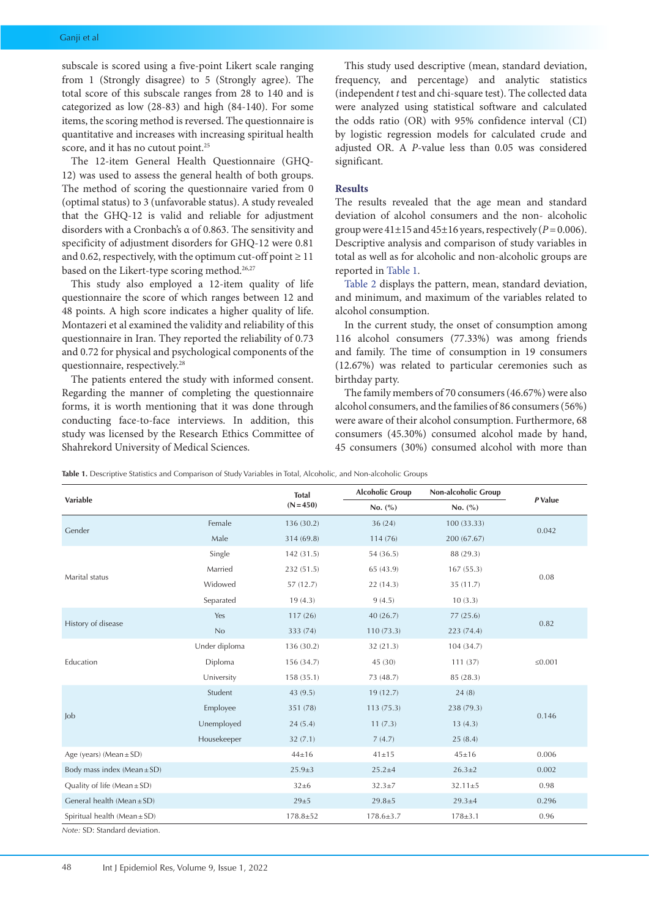subscale is scored using a five-point Likert scale ranging from 1 (Strongly disagree) to 5 (Strongly agree). The total score of this subscale ranges from 28 to 140 and is categorized as low (28-83) and high (84-140). For some items, the scoring method is reversed. The questionnaire is quantitative and increases with increasing spiritual health score, and it has no cutout point.<sup>25</sup>

The 12-item General Health Questionnaire (GHQ-12) was used to assess the general health of both groups. The method of scoring the questionnaire varied from 0 (optimal status) to 3 (unfavorable status). A study revealed that the GHQ-12 is valid and reliable for adjustment disorders with a Cronbach's α of 0.863. The sensitivity and specificity of adjustment disorders for GHQ-12 were 0.81 and 0.62, respectively, with the optimum cut-off point  $\geq 11$ based on the Likert-type scoring method.<sup>26,27</sup>

This study also employed a 12-item quality of life questionnaire the score of which ranges between 12 and 48 points. A high score indicates a higher quality of life. Montazeri et al examined the validity and reliability of this questionnaire in Iran. They reported the reliability of 0.73 and 0.72 for physical and psychological components of the questionnaire, respectively.28

The patients entered the study with informed consent. Regarding the manner of completing the questionnaire forms, it is worth mentioning that it was done through conducting face-to-face interviews. In addition, this study was licensed by the Research Ethics Committee of Shahrekord University of Medical Sciences.

This study used descriptive (mean, standard deviation, frequency, and percentage) and analytic statistics (independent *t* test and chi-square test). The collected data were analyzed using statistical software and calculated the odds ratio (OR) with 95% confidence interval (CI) by logistic regression models for calculated crude and adjusted OR. A *P*-value less than 0.05 was considered significant.

# **Results**

The results revealed that the age mean and standard deviation of alcohol consumers and the non- alcoholic group were  $41\pm15$  and  $45\pm16$  years, respectively ( $P=0.006$ ). Descriptive analysis and comparison of study variables in total as well as for alcoholic and non-alcoholic groups are reported in [Table 1](#page-2-0).

[Table 2](#page-3-0) displays the pattern, mean, standard deviation, and minimum, and maximum of the variables related to alcohol consumption.

In the current study, the onset of consumption among 116 alcohol consumers (77.33%) was among friends and family. The time of consumption in 19 consumers (12.67%) was related to particular ceremonies such as birthday party.

The family members of 70 consumers (46.67%) were also alcohol consumers, and the families of 86 consumers (56%) were aware of their alcohol consumption. Furthermore, 68 consumers (45.30%) consumed alcohol made by hand, 45 consumers (30%) consumed alcohol with more than

<span id="page-2-0"></span>

|                                  |               | <b>Total</b>   | <b>Alcoholic Group</b> | Non-alcoholic Group |              |
|----------------------------------|---------------|----------------|------------------------|---------------------|--------------|
| Variable                         |               | $(N=450)$      | No. (%)                | No. (%)             | P Value      |
| Gender                           | Female        | 136 (30.2)     | 36(24)                 | 100 (33.33)         |              |
|                                  | Male          | 314 (69.8)     | 114 (76)               | 200 (67.67)         | 0.042        |
|                                  | Single        | 142 (31.5)     | 54 (36.5)              | 88 (29.3)           |              |
|                                  | Married       | 232 (51.5)     | 65 (43.9)              | 167(55.3)           | 0.08         |
| Marital status                   | Widowed       | 57(12.7)       | 22(14.3)               | 35 (11.7)           |              |
|                                  | Separated     | 19(4.3)        | 9(4.5)                 | 10(3.3)             |              |
| History of disease               | Yes           | 117(26)        | 40(26.7)               | 77(25.6)            | 0.82         |
|                                  | No            | 333 (74)       | 110(73.3)              | 223 (74.4)          |              |
|                                  | Under diploma | 136 (30.2)     | 32 (21.3)              | 104 (34.7)          |              |
| Education                        | Diploma       | 156 (34.7)     | 45 (30)                | 111(37)             | $\leq 0.001$ |
|                                  | University    | 158 (35.1)     | 73 (48.7)              | 85 (28.3)           |              |
|                                  | Student       | 43 (9.5)       | 19(12.7)               | 24(8)               |              |
| Job                              | Employee      | 351 (78)       | 113(75.3)              | 238 (79.3)          | 0.146        |
|                                  | Unemployed    | 24(5.4)        | 11(7.3)                | 13(4.3)             |              |
|                                  | Housekeeper   | 32(7.1)        | 7(4.7)                 | 25(8.4)             |              |
| Age (years) (Mean $\pm$ SD)      |               | $44 \pm 16$    | $41 \pm 15$            | $45 \pm 16$         | 0.006        |
| Body mass index $(Mean \pm SD)$  |               | $25.9 \pm 3$   | $25.2 \pm 4$           | $26.3 \pm 2$        | 0.002        |
| Quality of life (Mean $\pm$ SD)  |               | $32\pm 6$      | $32.3 \pm 7$           | $32.11 \pm 5$       | 0.98         |
| General health (Mean $\pm$ SD)   |               | $29 + 5$       | $29.8 \pm 5$           | $29.3 \pm 4$        | 0.296        |
| Spiritual health (Mean $\pm$ SD) |               | $178.8 \pm 52$ | $178.6 \pm 3.7$        | $178 \pm 3.1$       | 0.96         |

*Note:* SD: Standard deviation.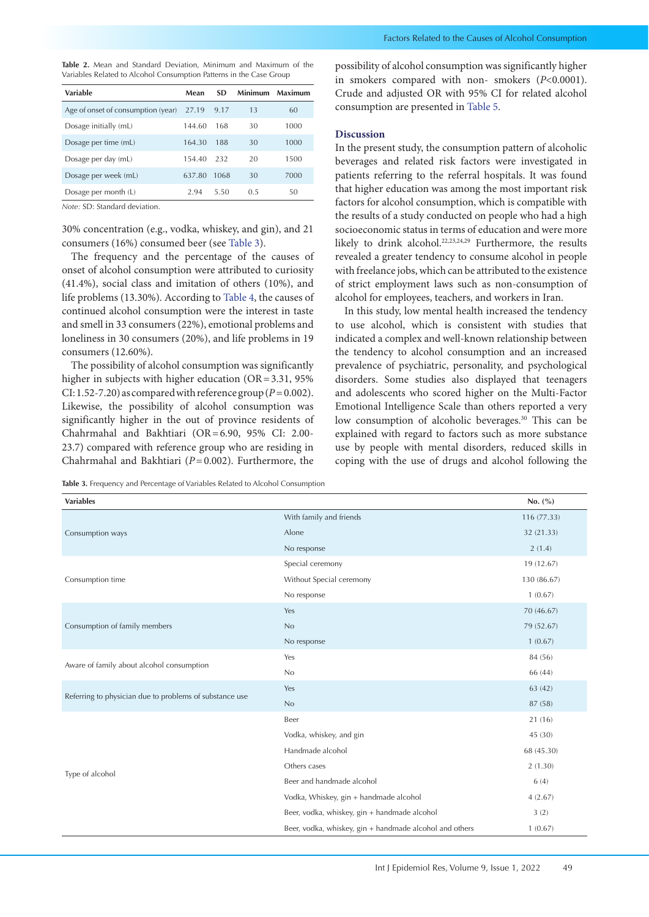<span id="page-3-0"></span>**Table 2.** Mean and Standard Deviation, Minimum and Maximum of the Variables Related to Alcohol Consumption Patterns in the Case Group

| Variable                           | Mean   | SD.  | Minimum | Maximum |
|------------------------------------|--------|------|---------|---------|
| Age of onset of consumption (year) | 27.19  | 9.17 | 13      | 60      |
| Dosage initially (mL)              | 144.60 | 168  | 30      | 1000    |
| Dosage per time (mL)               | 164.30 | 188  | 30      | 1000    |
| Dosage per day (mL)                | 154.40 | -232 | 20      | 1500    |
| Dosage per week (mL)               | 637.80 | 1068 | 30      | 7000    |
| Dosage per month (L)               | 2.94   | 5.50 | 0.5     | 50      |

*Note:* SD: Standard deviation.

30% concentration (e.g., vodka, whiskey, and gin), and 21 consumers (16%) consumed beer (see [Table 3](#page-3-1)).

The frequency and the percentage of the causes of onset of alcohol consumption were attributed to curiosity (41.4%), social class and imitation of others (10%), and life problems (13.30%). According to [Table 4](#page-4-0), the causes of continued alcohol consumption were the interest in taste and smell in 33 consumers (22%), emotional problems and loneliness in 30 consumers (20%), and life problems in 19 consumers (12.60%).

The possibility of alcohol consumption was significantly higher in subjects with higher education (OR=3.31, 95%) CI: 1.52-7.20) as compared with reference group ( $P=0.002$ ). Likewise, the possibility of alcohol consumption was significantly higher in the out of province residents of Chahrmahal and Bakhtiari (OR=6.90, 95% CI: 2.00- 23.7) compared with reference group who are residing in Chahrmahal and Bakhtiari (*P*=0.002). Furthermore, the

<span id="page-3-1"></span>**Table 3.** Frequency and Percentage of Variables Related to Alcohol Consumption

possibility of alcohol consumption was significantly higher in smokers compared with non- smokers (*P*<0.0001). Crude and adjusted OR with 95% CI for related alcohol consumption are presented in [Table 5.](#page-4-1)

# **Discussion**

In the present study, the consumption pattern of alcoholic beverages and related risk factors were investigated in patients referring to the referral hospitals. It was found that higher education was among the most important risk factors for alcohol consumption, which is compatible with the results of a study conducted on people who had a high socioeconomic status in terms of education and were more likely to drink alcohol.<sup>22,23,24,29</sup> Furthermore, the results revealed a greater tendency to consume alcohol in people with freelance jobs, which can be attributed to the existence of strict employment laws such as non-consumption of alcohol for employees, teachers, and workers in Iran.

In this study, low mental health increased the tendency to use alcohol, which is consistent with studies that indicated a complex and well-known relationship between the tendency to alcohol consumption and an increased prevalence of psychiatric, personality, and psychological disorders. Some studies also displayed that teenagers and adolescents who scored higher on the Multi-Factor Emotional Intelligence Scale than others reported a very low consumption of alcoholic beverages.<sup>30</sup> This can be explained with regard to factors such as more substance use by people with mental disorders, reduced skills in coping with the use of drugs and alcohol following the

| <b>Variables</b>                                        |                                                         | No. $(\% )$ |
|---------------------------------------------------------|---------------------------------------------------------|-------------|
|                                                         | With family and friends                                 | 116 (77.33) |
| Consumption ways                                        | Alone                                                   | 32 (21.33)  |
|                                                         | No response                                             | 2(1.4)      |
|                                                         | Special ceremony                                        | 19 (12.67)  |
| Consumption time                                        | Without Special ceremony                                | 130 (86.67) |
|                                                         | No response                                             | 1(0.67)     |
|                                                         | Yes                                                     | 70 (46.67)  |
| Consumption of family members                           | No                                                      | 79 (52.67)  |
|                                                         | No response                                             | 1(0.67)     |
|                                                         | Yes                                                     | 84 (56)     |
| Aware of family about alcohol consumption               | No                                                      | 66 (44)     |
| Referring to physician due to problems of substance use | Yes                                                     | 63 (42)     |
|                                                         | No                                                      | 87 (58)     |
|                                                         | Beer                                                    | 21 (16)     |
|                                                         | Vodka, whiskey, and gin                                 | 45 (30)     |
|                                                         | Handmade alcohol                                        | 68 (45.30)  |
|                                                         | Others cases                                            | 2(1.30)     |
| Type of alcohol                                         | Beer and handmade alcohol                               | 6(4)        |
|                                                         | Vodka, Whiskey, gin + handmade alcohol                  | 4(2.67)     |
|                                                         | Beer, vodka, whiskey, gin + handmade alcohol            | 3(2)        |
|                                                         | Beer, vodka, whiskey, gin + handmade alcohol and others | 1(0.67)     |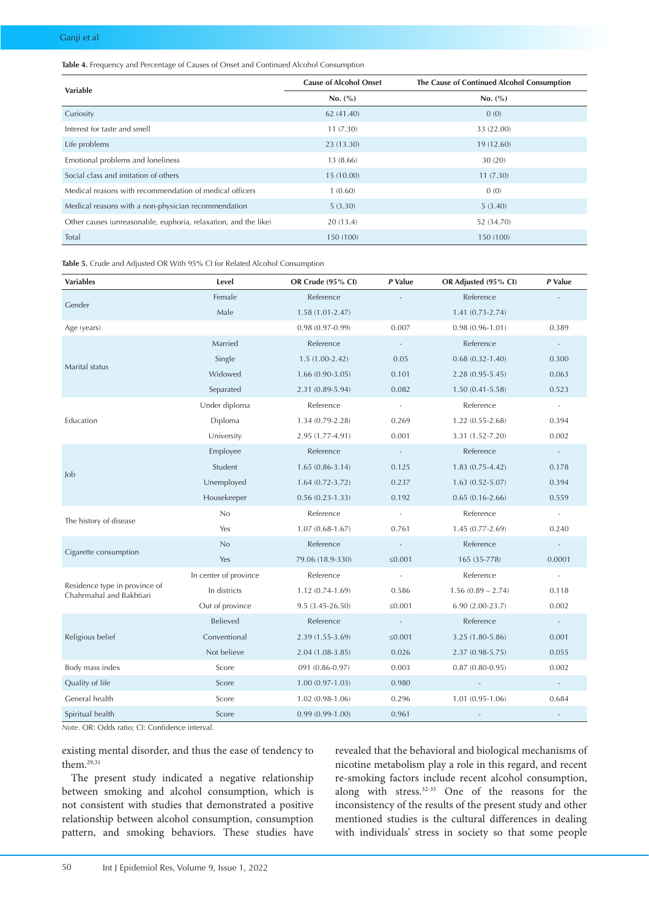<span id="page-4-0"></span>**Table 4.** Frequency and Percentage of Causes of Onset and Continued Alcohol Consumption

| <b>Variable</b>                                                 | <b>Cause of Alcohol Onset</b> | The Cause of Continued Alcohol Consumption |  |
|-----------------------------------------------------------------|-------------------------------|--------------------------------------------|--|
|                                                                 | No. (%)                       | No. (%)                                    |  |
| Curiosity                                                       | 62 (41.40)                    | 0(0)                                       |  |
| Interest for taste and smell                                    | 11(7.30)                      | 33 (22.00)                                 |  |
| Life problems                                                   | 23 (13.30)                    | 19 (12.60)                                 |  |
| Emotional problems and loneliness                               | 13 (8.66)                     | 30(20)                                     |  |
| Social class and imitation of others                            | 15(10.00)                     | 11(7.30)                                   |  |
| Medical reasons with recommendation of medical officers         | 1(0.60)                       | 0(0)                                       |  |
| Medical reasons with a non-physician recommendation             | 5(3.30)                       | 5(3.40)                                    |  |
| Other causes (unreasonable, euphoria, relaxation, and the like) | 20(13.4)                      | 52 (34.70)                                 |  |
| Total                                                           | 150 (100)                     | 150 (100)                                  |  |

<span id="page-4-1"></span>**Table 5.** Crude and Adjusted OR With 95% CI for Related Alcohol Consumption

| <b>Variables</b>                                          | Level                 | OR Crude (95% CI)   | P Value                  | OR Adjusted (95% CI)     | P Value                  |
|-----------------------------------------------------------|-----------------------|---------------------|--------------------------|--------------------------|--------------------------|
| Gender                                                    | Female                | Reference           |                          | Reference                |                          |
|                                                           | Male                  | $1.58(1.01 - 2.47)$ |                          | $1.41(0.73-2.74)$        |                          |
| Age (years)                                               |                       | $0.98(0.97-0.99)$   | 0.007                    | $0.98(0.96 - 1.01)$      | 0.389                    |
| Marital status                                            | Married               | Reference           | $\overline{\phantom{a}}$ | Reference                |                          |
|                                                           | Single                | $1.5(1.00-2.42)$    | 0.05                     | $0.68(0.32 - 1.40)$      | 0.300                    |
|                                                           | Widowed               | $1.66(0.90-3.05)$   | 0.101                    | $2.28(0.95 - 5.45)$      | 0.063                    |
|                                                           | Separated             | 2.31 (0.89-5.94)    | 0.082                    | $1.50(0.41 - 5.58)$      | 0.523                    |
| Education                                                 | Under diploma         | Reference           | $\sim$                   | Reference                | $\omega$                 |
|                                                           | Diploma               | $1.34(0.79-2.28)$   | 0.269                    | $1.22(0.55-2.68)$        | 0.394                    |
|                                                           | University            | 2.95 (1.77-4.91)    | 0.001                    | 3.31 (1.52-7.20)         | 0.002                    |
| Job                                                       | Employee              | Reference           | $\sim$ $\sim$            | Reference                | $\equiv$                 |
|                                                           | Student               | $1.65(0.86-3.14)$   | 0.125                    | $1.83(0.75-4.42)$        | 0.178                    |
|                                                           | Unemployed            | $1.64(0.72 - 3.72)$ | 0.237                    | $1.63(0.52 - 5.07)$      | 0.394                    |
|                                                           | Housekeeper           | $0.56(0.23 - 1.33)$ | 0.192                    | $0.65(0.16-2.66)$        | 0.559                    |
| The history of disease                                    | No                    | Reference           | $\sim$ $-$               | Reference                | $\overline{\phantom{a}}$ |
|                                                           | Yes                   | $1.07(0.68-1.67)$   | 0.761                    | $1.45(0.77-2.69)$        | 0.240                    |
| Cigarette consumption                                     | No                    | Reference           | $\sim$                   | Reference                | $\sim$                   |
|                                                           | Yes                   | 79.06 (18.9-330)    | ≤0.001                   | 165 (35-778)             | 0.0001                   |
| Residence type in province of<br>Chahrmahal and Bakhtiari | In center of province | Reference           | $\sim$                   | Reference                | $\overline{\phantom{a}}$ |
|                                                           | In districts          | $1.12(0.74-1.69)$   | 0.586                    | $1.56(0.89 - 2.74)$      | 0.118                    |
|                                                           | Out of province       | $9.5(3.45-26.50)$   | ≤0.001                   | $6.90(2.00-23.7)$        | 0.002                    |
| Religious belief                                          | Believed              | Reference           | $\sim$ $-$               | Reference                | $\sim$                   |
|                                                           | Conventional          | $2.39(1.55-3.69)$   | ≤0.001                   | 3.25 (1.80-5.86)         | 0.001                    |
|                                                           | Not believe           | $2.04(1.08-3.85)$   | 0.026                    | $2.37(0.98 - 5.75)$      | 0.055                    |
| Body mass index                                           | Score                 | 091 (0.86-0.97)     | 0.003                    | $0.87(0.80-0.95)$        | 0.002                    |
| Quality of life                                           | Score                 | $1.00(0.97-1.03)$   | 0.980                    | $\omega$                 | $\omega$                 |
| General health                                            | Score                 | $1.02(0.98-1.06)$   | 0.296                    | $1.01(0.95 - 1.06)$      | 0.684                    |
| Spiritual health                                          | Score                 | $0.99(0.99-1.00)$   | 0.961                    | $\overline{\phantom{a}}$ |                          |

*Note*. OR: Odds ratio; CI: Confidence interval.

existing mental disorder, and thus the ease of tendency to them.29,31

The present study indicated a negative relationship between smoking and alcohol consumption, which is not consistent with studies that demonstrated a positive relationship between alcohol consumption, consumption pattern, and smoking behaviors. These studies have

revealed that the behavioral and biological mechanisms of nicotine metabolism play a role in this regard, and recent re-smoking factors include recent alcohol consumption, along with stress.<sup>32-35</sup> One of the reasons for the inconsistency of the results of the present study and other mentioned studies is the cultural differences in dealing with individuals' stress in society so that some people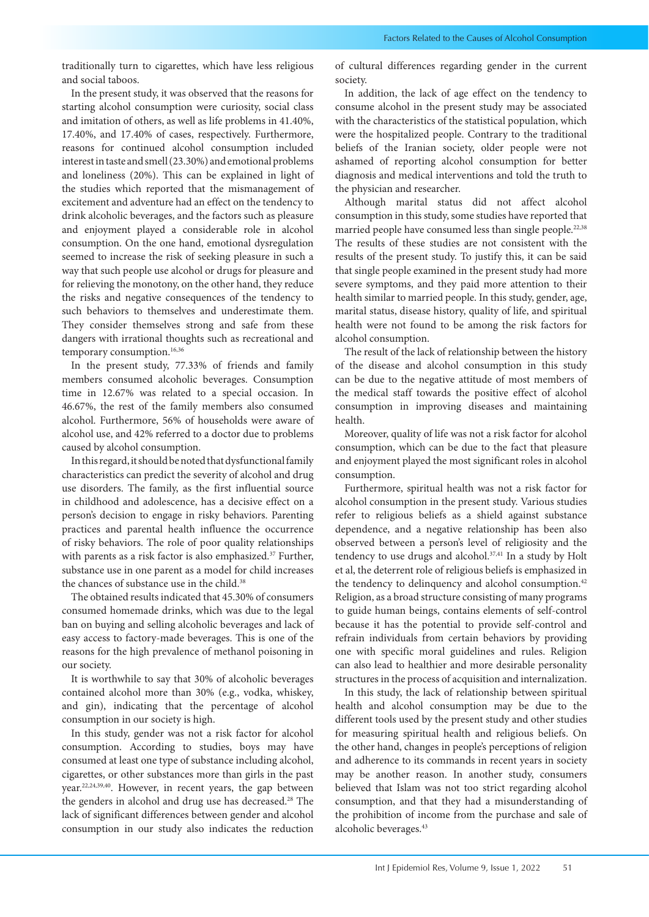traditionally turn to cigarettes, which have less religious and social taboos.

In the present study, it was observed that the reasons for starting alcohol consumption were curiosity, social class and imitation of others, as well as life problems in 41.40%, 17.40%, and 17.40% of cases, respectively. Furthermore, reasons for continued alcohol consumption included interest in taste and smell (23.30%) and emotional problems and loneliness (20%). This can be explained in light of the studies which reported that the mismanagement of excitement and adventure had an effect on the tendency to drink alcoholic beverages, and the factors such as pleasure and enjoyment played a considerable role in alcohol consumption. On the one hand, emotional dysregulation seemed to increase the risk of seeking pleasure in such a way that such people use alcohol or drugs for pleasure and for relieving the monotony, on the other hand, they reduce the risks and negative consequences of the tendency to such behaviors to themselves and underestimate them. They consider themselves strong and safe from these dangers with irrational thoughts such as recreational and temporary consumption.<sup>16,36</sup>

In the present study, 77.33% of friends and family members consumed alcoholic beverages. Consumption time in 12.67% was related to a special occasion. In 46.67%, the rest of the family members also consumed alcohol. Furthermore, 56% of households were aware of alcohol use, and 42% referred to a doctor due to problems caused by alcohol consumption.

In this regard, it should be noted that dysfunctional family characteristics can predict the severity of alcohol and drug use disorders. The family, as the first influential source in childhood and adolescence, has a decisive effect on a person's decision to engage in risky behaviors. Parenting practices and parental health influence the occurrence of risky behaviors. The role of poor quality relationships with parents as a risk factor is also emphasized.<sup>37</sup> Further, substance use in one parent as a model for child increases the chances of substance use in the child.<sup>38</sup>

The obtained results indicated that 45.30% of consumers consumed homemade drinks, which was due to the legal ban on buying and selling alcoholic beverages and lack of easy access to factory-made beverages. This is one of the reasons for the high prevalence of methanol poisoning in our society.

It is worthwhile to say that 30% of alcoholic beverages contained alcohol more than 30% (e.g., vodka, whiskey, and gin), indicating that the percentage of alcohol consumption in our society is high.

In this study, gender was not a risk factor for alcohol consumption. According to studies, boys may have consumed at least one type of substance including alcohol, cigarettes, or other substances more than girls in the past year.22,24,39,40. However, in recent years, the gap between the genders in alcohol and drug use has decreased.<sup>28</sup> The lack of significant differences between gender and alcohol consumption in our study also indicates the reduction

of cultural differences regarding gender in the current society.

In addition, the lack of age effect on the tendency to consume alcohol in the present study may be associated with the characteristics of the statistical population, which were the hospitalized people. Contrary to the traditional beliefs of the Iranian society, older people were not ashamed of reporting alcohol consumption for better diagnosis and medical interventions and told the truth to the physician and researcher.

Although marital status did not affect alcohol consumption in this study, some studies have reported that married people have consumed less than single people.<sup>22,38</sup> The results of these studies are not consistent with the results of the present study. To justify this, it can be said that single people examined in the present study had more severe symptoms, and they paid more attention to their health similar to married people. In this study, gender, age, marital status, disease history, quality of life, and spiritual health were not found to be among the risk factors for alcohol consumption.

The result of the lack of relationship between the history of the disease and alcohol consumption in this study can be due to the negative attitude of most members of the medical staff towards the positive effect of alcohol consumption in improving diseases and maintaining health.

Moreover, quality of life was not a risk factor for alcohol consumption, which can be due to the fact that pleasure and enjoyment played the most significant roles in alcohol consumption.

Furthermore, spiritual health was not a risk factor for alcohol consumption in the present study. Various studies refer to religious beliefs as a shield against substance dependence, and a negative relationship has been also observed between a person's level of religiosity and the tendency to use drugs and alcohol.<sup>37,41</sup> In a study by Holt et al, the deterrent role of religious beliefs is emphasized in the tendency to delinquency and alcohol consumption.<sup>42</sup> Religion, as a broad structure consisting of many programs to guide human beings, contains elements of self-control because it has the potential to provide self-control and refrain individuals from certain behaviors by providing one with specific moral guidelines and rules. Religion can also lead to healthier and more desirable personality structures in the process of acquisition and internalization.

In this study, the lack of relationship between spiritual health and alcohol consumption may be due to the different tools used by the present study and other studies for measuring spiritual health and religious beliefs. On the other hand, changes in people's perceptions of religion and adherence to its commands in recent years in society may be another reason. In another study, consumers believed that Islam was not too strict regarding alcohol consumption, and that they had a misunderstanding of the prohibition of income from the purchase and sale of alcoholic beverages.43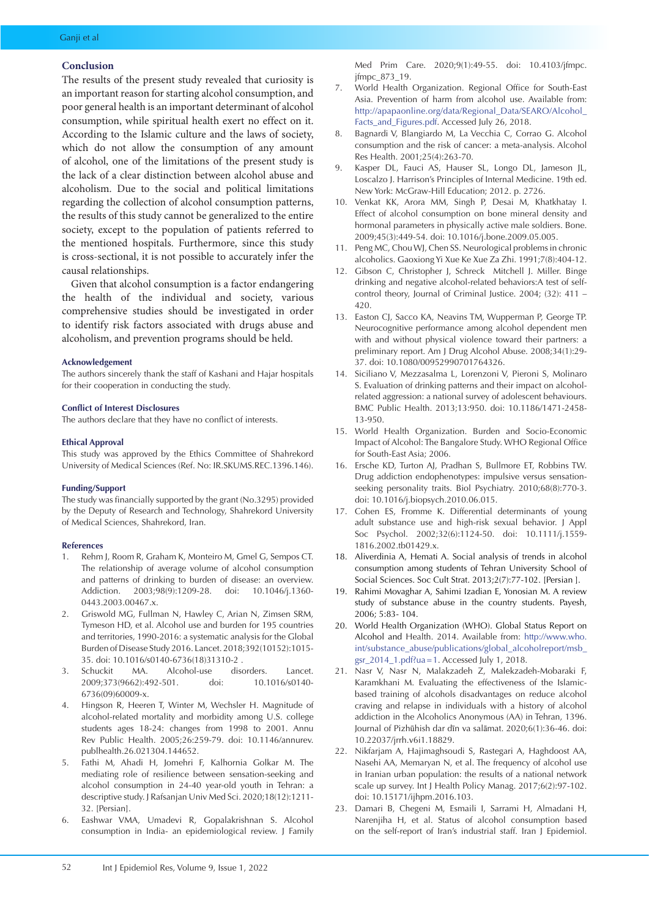# **Conclusion**

The results of the present study revealed that curiosity is an important reason for starting alcohol consumption, and poor general health is an important determinant of alcohol consumption, while spiritual health exert no effect on it. According to the Islamic culture and the laws of society, which do not allow the consumption of any amount of alcohol, one of the limitations of the present study is the lack of a clear distinction between alcohol abuse and alcoholism. Due to the social and political limitations regarding the collection of alcohol consumption patterns, the results of this study cannot be generalized to the entire society, except to the population of patients referred to the mentioned hospitals. Furthermore, since this study is cross-sectional, it is not possible to accurately infer the causal relationships.

Given that alcohol consumption is a factor endangering the health of the individual and society, various comprehensive studies should be investigated in order to identify risk factors associated with drugs abuse and alcoholism, and prevention programs should be held.

# **Acknowledgement**

The authors sincerely thank the staff of Kashani and Hajar hospitals for their cooperation in conducting the study.

### **Conflict of Interest Disclosures**

The authors declare that they have no conflict of interests.

#### **Ethical Approval**

This study was approved by the Ethics Committee of Shahrekord University of Medical Sciences (Ref. No: IR.SKUMS.REC.1396.146).

# **Funding/Support**

The study was financially supported by the grant (No.3295) provided by the Deputy of Research and Technology, Shahrekord University of Medical Sciences, Shahrekord, Iran.

### **References**

- 1. Rehm J, Room R, Graham K, Monteiro M, Gmel G, Sempos CT. The relationship of average volume of alcohol consumption and patterns of drinking to burden of disease: an overview. Addiction. 2003;98(9):1209-28. doi: 10.1046/j.1360- 0443.2003.00467.x.
- 2. Griswold MG, Fullman N, Hawley C, Arian N, Zimsen SRM, Tymeson HD, et al. Alcohol use and burden for 195 countries and territories, 1990-2016: a systematic analysis for the Global Burden of Disease Study 2016. Lancet. 2018;392(10152):1015- 35. doi: 10.1016/s0140-6736(18)31310-2 .
- 3. Schuckit MA. Alcohol-use disorders. Lancet. 2009;373(9662):492-501. doi: 10.1016/s0140- 6736(09)60009-x.
- Hingson R, Heeren T, Winter M, Wechsler H. Magnitude of alcohol-related mortality and morbidity among U.S. college students ages 18-24: changes from 1998 to 2001. Annu Rev Public Health. 2005;26:259-79. doi: 10.1146/annurev. publhealth.26.021304.144652.
- 5. Fathi M, Ahadi H, Jomehri F, Kalhornia Golkar M. The mediating role of resilience between sensation-seeking and alcohol consumption in 24-40 year-old youth in Tehran: a descriptive study. J Rafsanjan Univ Med Sci. 2020;18(12):1211- 32. [Persian].
- 6. Eashwar VMA, Umadevi R, Gopalakrishnan S. Alcohol consumption in India- an epidemiological review. J Family

Med Prim Care. 2020;9(1):49-55. doi: 10.4103/jfmpc. jfmpc\_873\_19.

- 7. World Health Organization. Regional Office for South-East Asia. Prevention of harm from alcohol use. Available from: [http://apapaonline.org/data/Regional\\_Data/SEARO/Alcohol\\_](http://apapaonline.org/data/Regional_Data/SEARO/Alcohol_Facts_and_Figures.pdf) [Facts\\_and\\_Figures.pdf.](http://apapaonline.org/data/Regional_Data/SEARO/Alcohol_Facts_and_Figures.pdf) Accessed July 26, 2018.
- 8. Bagnardi V, Blangiardo M, La Vecchia C, Corrao G. Alcohol consumption and the risk of cancer: a meta-analysis. Alcohol Res Health. 2001;25(4):263-70.
- Kasper DL, Fauci AS, Hauser SL, Longo DL, Jameson JL, Loscalzo J. Harrison's Principles of Internal Medicine. 19th ed. New York: McGraw-Hill Education; 2012. p. 2726.
- 10. Venkat KK, Arora MM, Singh P, Desai M, Khatkhatay I. Effect of alcohol consumption on bone mineral density and hormonal parameters in physically active male soldiers. Bone. 2009;45(3):449-54. doi: 10.1016/j.bone.2009.05.005.
- 11. Peng MC, Chou WJ, Chen SS. Neurological problems in chronic alcoholics. Gaoxiong Yi Xue Ke Xue Za Zhi. 1991;7(8):404-12.
- 12. Gibson C, Christopher J, Schreck Mitchell J. Miller. Binge drinking and negative alcohol-related behaviors:A test of selfcontrol theory, Journal of Criminal Justice. 2004; (32): 411 – 420.
- 13. Easton CJ, Sacco KA, Neavins TM, Wupperman P, George TP. Neurocognitive performance among alcohol dependent men with and without physical violence toward their partners: a preliminary report. Am J Drug Alcohol Abuse. 2008;34(1):29- 37. doi: 10.1080/00952990701764326.
- 14. Siciliano V, Mezzasalma L, Lorenzoni V, Pieroni S, Molinaro S. Evaluation of drinking patterns and their impact on alcoholrelated aggression: a national survey of adolescent behaviours. BMC Public Health. 2013;13:950. doi: 10.1186/1471-2458- 13-950.
- 15. World Health Organization. Burden and Socio-Economic Impact of Alcohol: The Bangalore Study. WHO Regional Office for South-East Asia; 2006.
- 16. Ersche KD, Turton AJ, Pradhan S, Bullmore ET, Robbins TW. Drug addiction endophenotypes: impulsive versus sensationseeking personality traits. Biol Psychiatry. 2010;68(8):770-3. doi: 10.1016/j.biopsych.2010.06.015.
- 17. Cohen ES, Fromme K. Differential determinants of young adult substance use and high-risk sexual behavior. J Appl Soc Psychol. 2002;32(6):1124-50. doi: 10.1111/j.1559- 1816.2002.tb01429.x.
- 18. Aliverdinia A, Hemati A. Social analysis of trends in alcohol consumption among students of Tehran University School of Social Sciences. Soc Cult Strat. 2013;2(7):77-102. [Persian ].
- 19. Rahimi Movaghar A, Sahimi Izadian E, Yonosian M. A review study of substance abuse in the country students. Payesh, 2006; 5:83- 104.
- 20. World Health Organization (WHO). Global Status Report on Alcohol and Health. 2014. Available from: [http://www.who.](http://www.who.int/substance_abuse/publications/global_alcoholreport/msb_gsr_2014_1.pdf?ua=1) [int/substance\\_abuse/publications/global\\_alcoholreport/msb\\_](http://www.who.int/substance_abuse/publications/global_alcoholreport/msb_gsr_2014_1.pdf?ua=1) [gsr\\_2014\\_1.pdf?ua=](http://www.who.int/substance_abuse/publications/global_alcoholreport/msb_gsr_2014_1.pdf?ua=1)1. Accessed July 1, 2018.
- 21. Nasr V, Nasr N, Malakzadeh Z, Malekzadeh-Mobaraki F, Karamkhani M. Evaluating the effectiveness of the Islamicbased training of alcohols disadvantages on reduce alcohol craving and relapse in individuals with a history of alcohol addiction in the Alcoholics Anonymous (AA) in Tehran, 1396. Journal of Pizhūhish dar dīn va salāmat. 2020;6(1):36-46. doi: 10.22037/jrrh.v6i1.18829.
- 22. Nikfarjam A, Hajimaghsoudi S, Rastegari A, Haghdoost AA, Nasehi AA, Memaryan N, et al. The frequency of alcohol use in Iranian urban population: the results of a national network scale up survey. Int J Health Policy Manag. 2017;6(2):97-102. doi: 10.15171/ijhpm.2016.103.
- 23. Damari B, Chegeni M, Esmaili I, Sarrami H, Almadani H, Narenjiha H, et al. Status of alcohol consumption based on the self-report of Iran's industrial staff. Iran J Epidemiol.